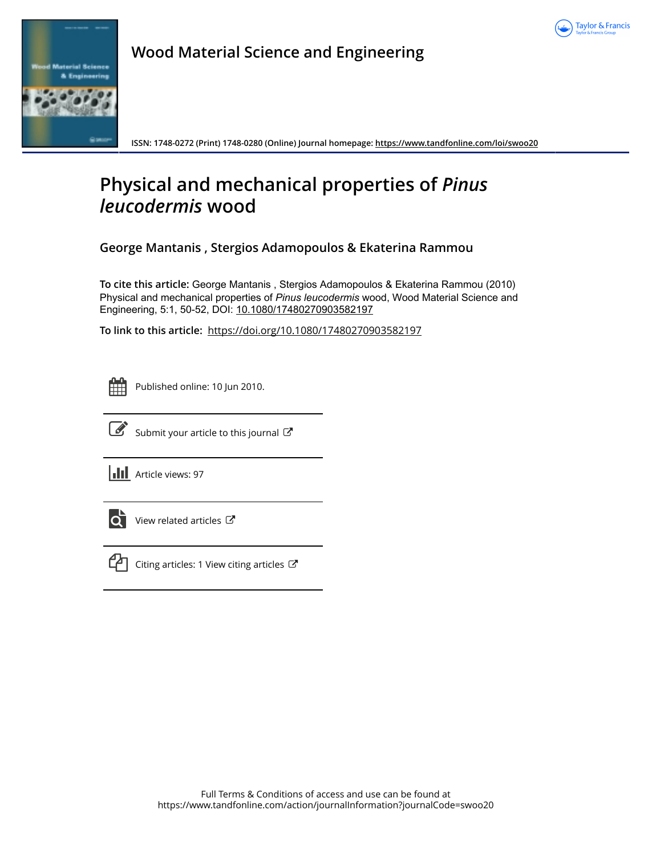



**Wood Material Science and Engineering**

**ISSN: 1748-0272 (Print) 1748-0280 (Online) Journal homepage:<https://www.tandfonline.com/loi/swoo20>**

# **Physical and mechanical properties of** *Pinus leucodermis* **wood**

**George Mantanis , Stergios Adamopoulos & Ekaterina Rammou**

**To cite this article:** George Mantanis , Stergios Adamopoulos & Ekaterina Rammou (2010) Physical and mechanical properties of *Pinusleucodermis* wood, Wood Material Science and Engineering, 5:1, 50-52, DOI: [10.1080/17480270903582197](https://www.tandfonline.com/action/showCitFormats?doi=10.1080/17480270903582197)

**To link to this article:** <https://doi.org/10.1080/17480270903582197>

|  | -- |  |
|--|----|--|
|  |    |  |
|  |    |  |
|  |    |  |

Published online: 10 Jun 2010.



 $\overrightarrow{S}$  [Submit your article to this journal](https://www.tandfonline.com/action/authorSubmission?journalCode=swoo20&show=instructions)  $G$ 

**III** Article views: 97



 $\overline{Q}$  [View related articles](https://www.tandfonline.com/doi/mlt/10.1080/17480270903582197)  $\overline{C}$ 



 $\mathcal{C}$  [Citing articles: 1 View citing articles](https://www.tandfonline.com/doi/citedby/10.1080/17480270903582197#tabModule)  $\mathcal{C}$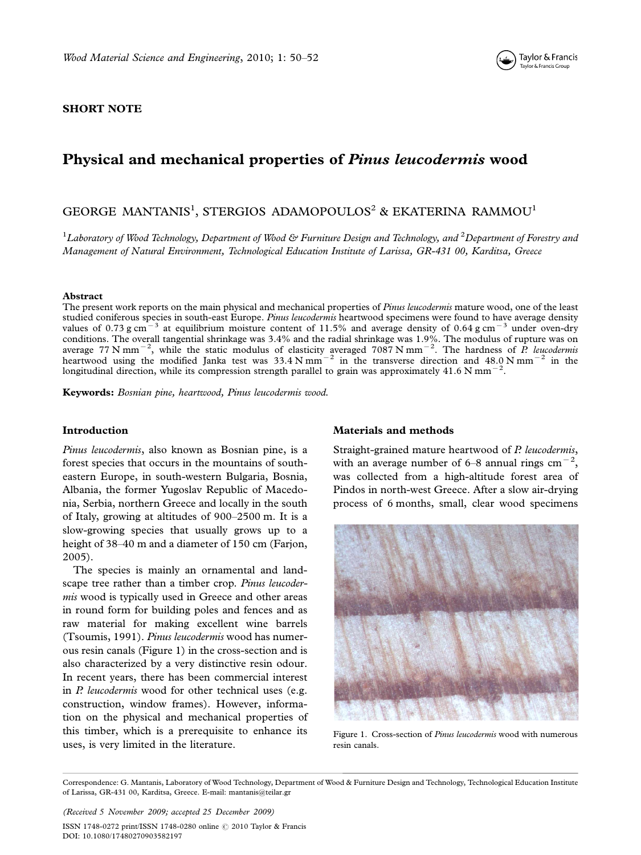

#### SHORT NOTE

## Physical and mechanical properties of Pinus leucodermis wood

### GEORGE MANTANIS<sup>1</sup>, STERGIOS ADAMOPOULOS<sup>2</sup> & EKATERINA RAMMOU<sup>1</sup>

 $^1$ Laboratory of Wood Technology, Department of Wood & Furniture Design and Technology, and  $^2$ Department of Forestry and Management of Natural Environment, Technological Education Institute of Larissa, GR-431 00, Karditsa, Greece

#### Abstract

The present work reports on the main physical and mechanical properties of Pinus leucodermis mature wood, one of the least studied coniferous species in south-east Europe. Pinus leucodermis heartwood specimens were found to have average density values of 0.73 g cm<sup>-3</sup> at equilibrium moisture content of 11.5% and average density of 0.64 g cm<sup>-3</sup> under oven-dry conditions. The overall tangential shrinkage was 3.4% and the radial shrinkage was 1.9%. The modulus of rupture was on average 77 N mm<sup>-2</sup>, while the static modulus of elasticity averaged 7087 N mm<sup>-2</sup>. The hardness of *P* longitudinal direction, while its compression strength parallel to grain was approximately 41.6 N mm<sup>-2</sup>.

Keywords: Bosnian pine, heartwood, Pinus leucodermis wood.

#### Introduction

Pinus leucodermis, also known as Bosnian pine, is a forest species that occurs in the mountains of southeastern Europe, in south-western Bulgaria, Bosnia, Albania, the former Yugoslav Republic of Macedonia, Serbia, northern Greece and locally in the south of Italy, growing at altitudes of 900-2500 m. It is a slow-growing species that usually grows up to a height of 38-40 m and a diameter of 150 cm (Farjon, 2005).

The species is mainly an ornamental and landscape tree rather than a timber crop. Pinus leucodermis wood is typically used in Greece and other areas in round form for building poles and fences and as raw material for making excellent wine barrels (Tsoumis, 1991). Pinus leucodermis wood has numerous resin canals (Figure 1) in the cross-section and is also characterized by a very distinctive resin odour. In recent years, there has been commercial interest in P. leucodermis wood for other technical uses (e.g. construction, window frames). However, information on the physical and mechanical properties of this timber, which is a prerequisite to enhance its uses, is very limited in the literature.

#### Materials and methods

Straight-grained mature heartwood of P. leucodermis, with an average number of 6–8 annual rings cm $^{-2}$ , was collected from a high-altitude forest area of Pindos in north-west Greece. After a slow air-drying process of 6 months, small, clear wood specimens



Figure 1. Cross-section of Pinus leucodermis wood with numerous resin canals.

Correspondence: G. Mantanis, Laboratory of Wood Technology, Department of Wood & Furniture Design and Technology, Technological Education Institute of Larissa, GR-431 00, Karditsa, Greece. E-mail: mantanis@teilar.gr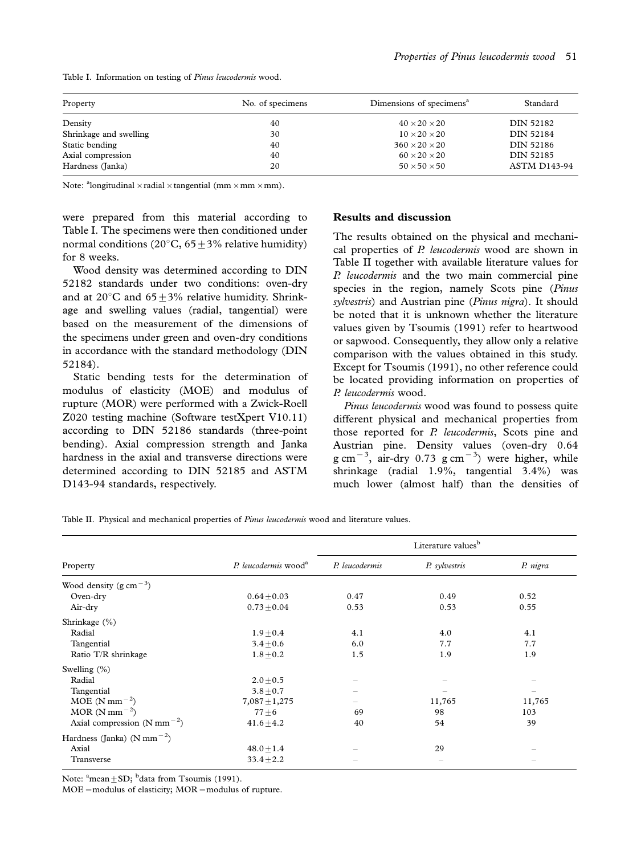| Property               | No. of specimens | Dimensions of specimens <sup>a</sup> | Standard            |
|------------------------|------------------|--------------------------------------|---------------------|
| Density                | 40               | $40 \times 20 \times 20$             | DIN 52182           |
| Shrinkage and swelling | 30               | $10 \times 20 \times 20$             | DIN 52184           |
| Static bending         | 40               | $360 \times 20 \times 20$            | DIN 52186           |
| Axial compression      | 40               | $60 \times 20 \times 20$             | DIN 52185           |
| Hardness (Janka)       | 20               | $50 \times 50 \times 50$             | <b>ASTM D143-94</b> |

Table I. Information on testing of Pinus leucodermis wood.

Note: <sup>a</sup>longitudinal  $\times$ radial  $\times$ tangential (mm $\times$ mm $\times$ mm).

were prepared from this material according to Table I. The specimens were then conditioned under normal conditions (20 $\degree$ C, 65+3% relative humidity) for 8 weeks.

Wood density was determined according to DIN 52182 standards under two conditions: oven-dry and at 20 $\degree$ C and 65 $\pm$ 3% relative humidity. Shrinkage and swelling values (radial, tangential) were based on the measurement of the dimensions of the specimens under green and oven-dry conditions in accordance with the standard methodology (DIN 52184).

Static bending tests for the determination of modulus of elasticity (MOE) and modulus of rupture (MOR) were performed with a Zwick-Roell Z020 testing machine (Software testXpert V10.11) according to DIN 52186 standards (three-point bending). Axial compression strength and Janka hardness in the axial and transverse directions were determined according to DIN 52185 and ASTM D143-94 standards, respectively.

#### Results and discussion

The results obtained on the physical and mechanical properties of P. leucodermis wood are shown in Table II together with available literature values for P. leucodermis and the two main commercial pine species in the region, namely Scots pine (Pinus sylvestris) and Austrian pine (Pinus nigra). It should be noted that it is unknown whether the literature values given by Tsoumis (1991) refer to heartwood or sapwood. Consequently, they allow only a relative comparison with the values obtained in this study. Except for Tsoumis (1991), no other reference could be located providing information on properties of P. leucodermis wood.

Pinus leucodermis wood was found to possess quite different physical and mechanical properties from those reported for P. leucodermis, Scots pine and Austrian pine. Density values (oven-dry 0.64  $\text{g cm}^{-3}$ , air-dry 0.73  $\text{g cm}^{-3}$ ) were higher, while shrinkage (radial 1.9%, tangential 3.4%) was much lower (almost half) than the densities of

Table II. Physical and mechanical properties of Pinus leucodermis wood and literature values.

|                                                     | P. leucodermis wood <sup>a</sup> | Literature values <sup>b</sup> |               |          |
|-----------------------------------------------------|----------------------------------|--------------------------------|---------------|----------|
| Property                                            |                                  | P. leucodermis                 | P. sylvestris | P. nigra |
| Wood density (g cm <sup><math>-3</math></sup> )     |                                  |                                |               |          |
| Oven-dry                                            | $0.64 + 0.03$                    | 0.47                           | 0.49          | 0.52     |
| Air-dry                                             | $0.73 + 0.04$                    | 0.53                           | 0.53          | 0.55     |
| Shrinkage $(\%)$                                    |                                  |                                |               |          |
| Radial                                              | $1.9 \pm 0.4$                    | 4.1                            | 4.0           | 4.1      |
| Tangential                                          | $3.4 \pm 0.6$                    | 6.0                            | 7.7           | 7.7      |
| Ratio T/R shrinkage                                 | $1.8 \pm 0.2$                    | 1.5                            | 1.9           | 1.9      |
| Swelling $(\% )$                                    |                                  |                                |               |          |
| Radial                                              | $2.0 + 0.5$                      | $\equiv$                       |               |          |
| Tangential                                          | $3.8 + 0.7$                      |                                |               |          |
| $MOE (N mm-2)$                                      | $7,087 \pm 1,275$                |                                | 11,765        | 11,765   |
| MOR (N mm <sup><math>-2</math></sup> )              | $77\pm 6$                        | 69                             | 98            | 103      |
| Axial compression $(N \text{ mm}^{-2})$             | $41.6 + 4.2$                     | 40                             | 54            | 39       |
| Hardness (Janka) (N mm <sup><math>-2</math></sup> ) |                                  |                                |               |          |
| Axial                                               | $48.0 \pm 1.4$                   |                                | 29            |          |
| Transverse                                          | $33.4 + 2.2$                     |                                |               |          |

Note:  $\text{^a}$ mean $\pm$ SD;  $\text{^b}$ data from Tsoumis (1991).

 $MOE$  = modulus of elasticity;  $MOR$  = modulus of rupture.